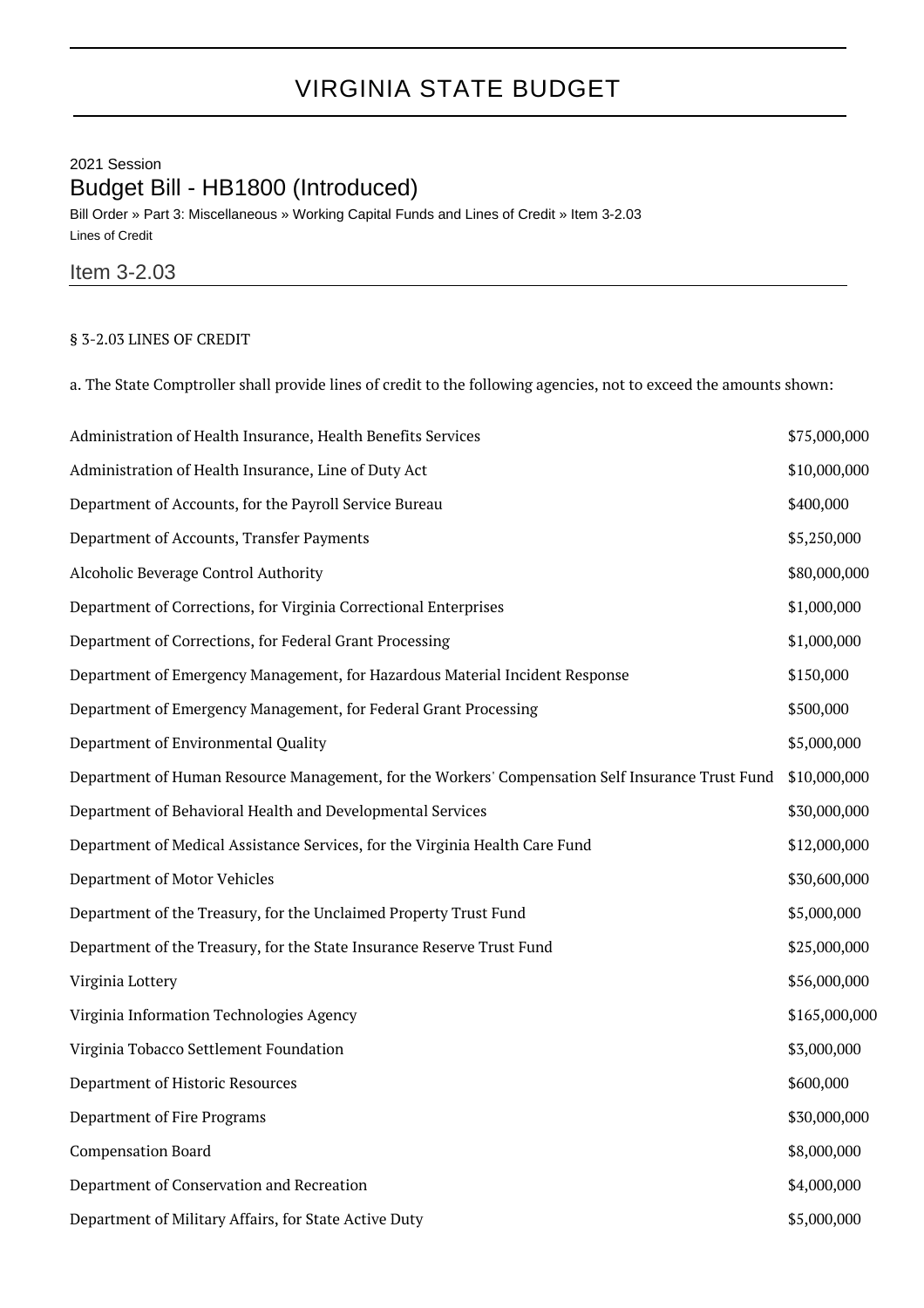## VIRGINIA STATE BUDGET

## 2021 Session Budget Bill - HB1800 (Introduced)

Bill Order » Part 3: Miscellaneous » Working Capital Funds and Lines of Credit » Item 3-2.03 Lines of Credit

## Item 3-2.03

## § 3-2.03 LINES OF CREDIT

a. The State Comptroller shall provide lines of credit to the following agencies, not to exceed the amounts shown:

| Administration of Health Insurance, Health Benefits Services                                     | \$75,000,000  |
|--------------------------------------------------------------------------------------------------|---------------|
| Administration of Health Insurance, Line of Duty Act                                             | \$10,000,000  |
| Department of Accounts, for the Payroll Service Bureau                                           | \$400,000     |
| Department of Accounts, Transfer Payments                                                        | \$5,250,000   |
| Alcoholic Beverage Control Authority                                                             | \$80,000,000  |
| Department of Corrections, for Virginia Correctional Enterprises                                 | \$1,000,000   |
| Department of Corrections, for Federal Grant Processing                                          | \$1,000,000   |
| Department of Emergency Management, for Hazardous Material Incident Response                     | \$150,000     |
| Department of Emergency Management, for Federal Grant Processing                                 | \$500,000     |
| Department of Environmental Quality                                                              | \$5,000,000   |
| Department of Human Resource Management, for the Workers' Compensation Self Insurance Trust Fund | \$10,000,000  |
| Department of Behavioral Health and Developmental Services                                       | \$30,000,000  |
| Department of Medical Assistance Services, for the Virginia Health Care Fund                     | \$12,000,000  |
| Department of Motor Vehicles                                                                     | \$30,600,000  |
| Department of the Treasury, for the Unclaimed Property Trust Fund                                | \$5,000,000   |
| Department of the Treasury, for the State Insurance Reserve Trust Fund                           | \$25,000,000  |
| Virginia Lottery                                                                                 | \$56,000,000  |
| Virginia Information Technologies Agency                                                         | \$165,000,000 |
| Virginia Tobacco Settlement Foundation                                                           | \$3,000,000   |
| Department of Historic Resources                                                                 | \$600,000     |
| Department of Fire Programs                                                                      | \$30,000,000  |
| <b>Compensation Board</b>                                                                        | \$8,000,000   |
| Department of Conservation and Recreation                                                        | \$4,000,000   |
| Department of Military Affairs, for State Active Duty                                            | \$5,000,000   |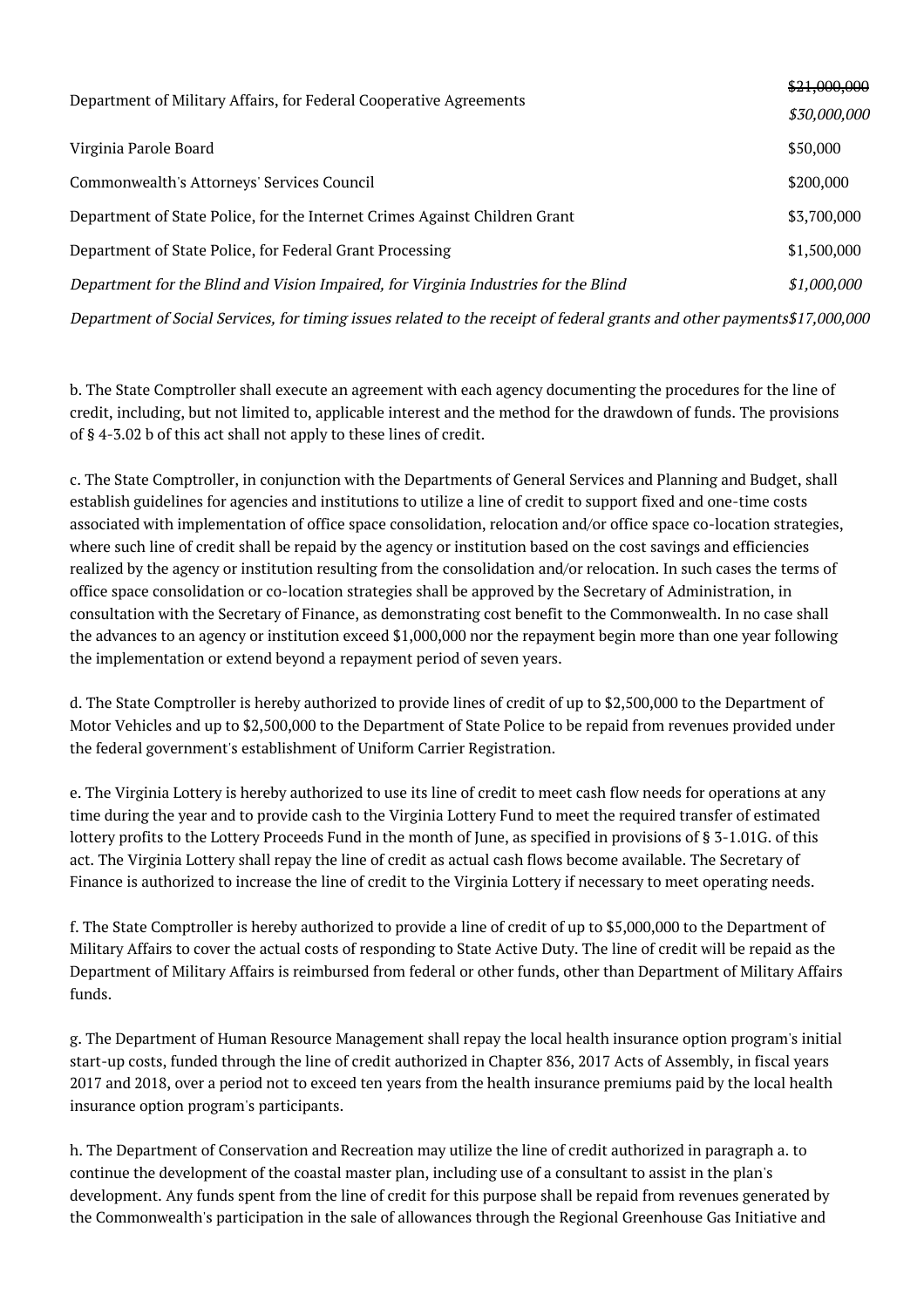| Department of Military Affairs, for Federal Cooperative Agreements                                                       | \$21,000,000 |  |
|--------------------------------------------------------------------------------------------------------------------------|--------------|--|
|                                                                                                                          | \$30,000,000 |  |
| Virginia Parole Board                                                                                                    | \$50,000     |  |
| Commonwealth's Attorneys' Services Council                                                                               | \$200,000    |  |
| Department of State Police, for the Internet Crimes Against Children Grant                                               | \$3,700,000  |  |
| Department of State Police, for Federal Grant Processing                                                                 | \$1,500,000  |  |
| Department for the Blind and Vision Impaired, for Virginia Industries for the Blind                                      | \$1,000,000  |  |
| Department of Social Services, for timing issues related to the receipt of federal grants and other payments\$17,000,000 |              |  |

b. The State Comptroller shall execute an agreement with each agency documenting the procedures for the line of credit, including, but not limited to, applicable interest and the method for the drawdown of funds. The provisions of § 4-3.02 b of this act shall not apply to these lines of credit.

c. The State Comptroller, in conjunction with the Departments of General Services and Planning and Budget, shall establish guidelines for agencies and institutions to utilize a line of credit to support fixed and one-time costs associated with implementation of office space consolidation, relocation and/or office space co-location strategies, where such line of credit shall be repaid by the agency or institution based on the cost savings and efficiencies realized by the agency or institution resulting from the consolidation and/or relocation. In such cases the terms of office space consolidation or co-location strategies shall be approved by the Secretary of Administration, in consultation with the Secretary of Finance, as demonstrating cost benefit to the Commonwealth. In no case shall the advances to an agency or institution exceed \$1,000,000 nor the repayment begin more than one year following the implementation or extend beyond a repayment period of seven years.

d. The State Comptroller is hereby authorized to provide lines of credit of up to \$2,500,000 to the Department of Motor Vehicles and up to \$2,500,000 to the Department of State Police to be repaid from revenues provided under the federal government's establishment of Uniform Carrier Registration.

e. The Virginia Lottery is hereby authorized to use its line of credit to meet cash flow needs for operations at any time during the year and to provide cash to the Virginia Lottery Fund to meet the required transfer of estimated lottery profits to the Lottery Proceeds Fund in the month of June, as specified in provisions of § 3-1.01G. of this act. The Virginia Lottery shall repay the line of credit as actual cash flows become available. The Secretary of Finance is authorized to increase the line of credit to the Virginia Lottery if necessary to meet operating needs.

f. The State Comptroller is hereby authorized to provide a line of credit of up to \$5,000,000 to the Department of Military Affairs to cover the actual costs of responding to State Active Duty. The line of credit will be repaid as the Department of Military Affairs is reimbursed from federal or other funds, other than Department of Military Affairs funds.

g. The Department of Human Resource Management shall repay the local health insurance option program's initial start-up costs, funded through the line of credit authorized in Chapter 836, 2017 Acts of Assembly, in fiscal years 2017 and 2018, over a period not to exceed ten years from the health insurance premiums paid by the local health insurance option program's participants.

h. The Department of Conservation and Recreation may utilize the line of credit authorized in paragraph a. to continue the development of the coastal master plan, including use of a consultant to assist in the plan's development. Any funds spent from the line of credit for this purpose shall be repaid from revenues generated by the Commonwealth's participation in the sale of allowances through the Regional Greenhouse Gas Initiative and